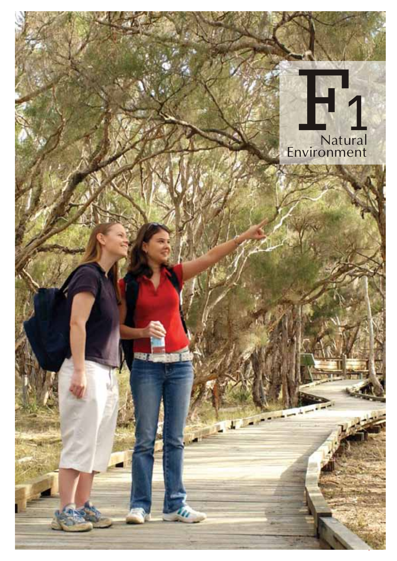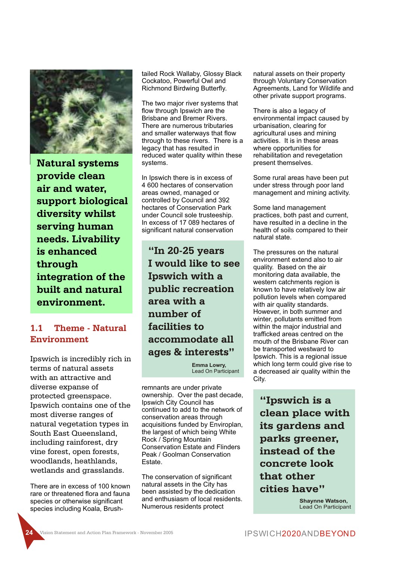

**Natural systems provide clean air and water, support biological diversity whilst serving human needs. Livability is enhanced through integration of the built and natural environment.**

## **1.1 Theme - Natural Environment**

Ipswich is incredibly rich in terms of natural assets with an attractive and diverse expanse of protected greenspace. Ipswich contains one of the most diverse ranges of natural vegetation types in South East Queensland, including rainforest, dry vine forest, open forests, woodlands, heathlands, wetlands and grasslands.

There are in excess of 100 known rare or threatened flora and fauna species or otherwise significant species including Koala, Brushtailed Rock Wallaby, Glossy Black Cockatoo, Powerful Owl and Richmond Birdwing Butterfly.

The two major river systems that flow through Ipswich are the Brisbane and Bremer Rivers. There are numerous tributaries and smaller waterways that flow through to these rivers. There is a legacy that has resulted in reduced water quality within these systems.

In Ipswich there is in excess of 4 600 hectares of conservation areas owned, managed or controlled by Council and 392 hectares of Conservation Park under Council sole trusteeship. In excess of 17 089 hectares of significant natural conservation

**"In 20-25 years I would like to see Ipswich with a public recreation area with a number of facilities to accommodate all ages & interests"**

> **Emma Lowry,** Lead On Participant

remnants are under private ownership. Over the past decade, Ipswich City Council has continued to add to the network of conservation areas through acquisitions funded by Enviroplan, the largest of which being White Rock / Spring Mountain Conservation Estate and Flinders Peak / Goolman Conservation Estate.

The conservation of significant natural assets in the City has been assisted by the dedication and enthusiasm of local residents. Numerous residents protect

natural assets on their property through Voluntary Conservation Agreements, Land for Wildlife and other private support programs.

There is also a legacy of environmental impact caused by urbanisation, clearing for agricultural uses and mining activities. It is in these areas where opportunities for rehabilitation and revegetation present themselves.

Some rural areas have been put under stress through poor land management and mining activity.

Some land management practices, both past and current, have resulted in a decline in the health of soils compared to their natural state.

The pressures on the natural environment extend also to air quality. Based on the air monitoring data available, the western catchments region is known to have relatively low air pollution levels when compared with air quality standards. However, in both summer and winter, pollutants emitted from within the major industrial and trafficked areas centred on the mouth of the Brisbane River can be transported westward to Ipswich. This is a regional issue which long term could give rise to a decreased air quality within the City.

**"Ipswich is a clean place with its gardens and parks greener, instead of the concrete look that other cities have"**

> **Shaynne Watson,** Lead On Participant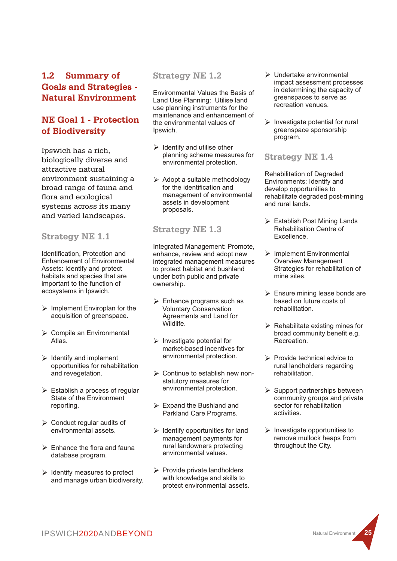# **1.2 Summary of Goals and Strategies - Natural Environment**

# **NE Goal 1 - Protection of Biodiversity**

Ipswich has a rich, biologically diverse and attractive natural environment sustaining a broad range of fauna and flora and ecological systems across its many and varied landscapes.

### **Strategy NE 1.1**

Identification, Protection and Enhancement of Environmental Assets: Identify and protect habitats and species that are important to the function of ecosystems in Ipswich.

- $\triangleright$  Implement Enviroplan for the acquisition of greenspace.
- $\triangleright$  Compile an Environmental Atlas.
- $\triangleright$  Identify and implement opportunities for rehabilitation and revegetation.
- $\triangleright$  Establish a process of regular State of the Environment reporting.
- $\triangleright$  Conduct regular audits of environmental assets.
- $\triangleright$  Enhance the flora and fauna database program.
- $\triangleright$  Identify measures to protect and manage urban biodiversity.

### **Strategy NE 1.2**

Environmental Values the Basis of Land Use Planning: Utilise land use planning instruments for the maintenance and enhancement of the environmental values of Ipswich.

- $\triangleright$  Identify and utilise other planning scheme measures for environmental protection.
- $\triangleright$  Adopt a suitable methodology for the identification and management of environmental assets in development proposals.

### **Strategy NE 1.3**

Integrated Management: Promote, enhance, review and adopt new integrated management measures to protect habitat and bushland under both public and private ownership.

- $\triangleright$  Enhance programs such as Voluntary Conservation Agreements and Land for Wildlife.
- $\triangleright$  Investigate potential for market-based incentives for environmental protection.
- $\triangleright$  Continue to establish new nonstatutory measures for environmental protection.
- $\triangleright$  Expand the Bushland and Parkland Care Programs.
- $\triangleright$  Identify opportunities for land management payments for rural landowners protecting environmental values.
- $\triangleright$  Provide private landholders with knowledge and skills to protect environmental assets.
- $\triangleright$  Undertake environmental impact assessment processes in determining the capacity of greenspaces to serve as recreation venues.
- $\triangleright$  Investigate potential for rural greenspace sponsorship program.

### **Strategy NE 1.4**

Rehabilitation of Degraded Environments: Identify and develop opportunities to rehabilitate degraded post-mining and rural lands.

- $\triangleright$  Establish Post Mining Lands Rehabilitation Centre of Excellence.
- $\triangleright$  Implement Environmental Overview Management Strategies for rehabilitation of mine sites.
- $\triangleright$  Ensure mining lease bonds are based on future costs of rehabilitation.
- $\triangleright$  Rehabilitate existing mines for broad community benefit e.g. **Recreation**
- $\triangleright$  Provide technical advice to rural landholders regarding rehabilitation.
- $\triangleright$  Support partnerships between community groups and private sector for rehabilitation activities.
- $\triangleright$  Investigate opportunities to remove mullock heaps from throughout the City.

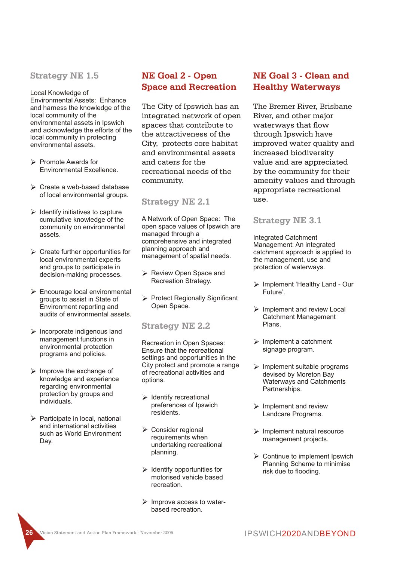#### **Strategy NE 1.5**

Local Knowledge of Environmental Assets: Enhance and harness the knowledge of the local community of the environmental assets in Ipswich and acknowledge the efforts of the local community in protecting environmental assets.

- $\triangleright$  Promote Awards for Environmental Excellence.
- $\triangleright$  Create a web-based database of local environmental groups.
- $\triangleright$  Identify initiatives to capture cumulative knowledge of the community on environmental assets.
- $\triangleright$  Create further opportunities for local environmental experts and groups to participate in decision-making processes.
- $\triangleright$  Encourage local environmental groups to assist in State of Environment reporting and audits of environmental assets.
- $\triangleright$  Incorporate indigenous land management functions in environmental protection programs and policies.
- $\triangleright$  Improve the exchange of knowledge and experience regarding environmental protection by groups and individuals.
- $\triangleright$  Participate in local, national and international activities such as World Environment Day.

## **NE Goal 2 - Open Space and Recreation**

The City of Ipswich has an integrated network of open spaces that contribute to the attractiveness of the City, protects core habitat and environmental assets and caters for the recreational needs of the community.

### **Strategy NE 2.1**

A Network of Open Space: The open space values of Ipswich are managed through a comprehensive and integrated planning approach and management of spatial needs.

- Ø Review Open Space and Recreation Strategy.
- Ø Protect Regionally Significant Open Space.

#### **Strategy NE 2.2**

Recreation in Open Spaces: Ensure that the recreational settings and opportunities in the City protect and promote a range of recreational activities and options.

- $\triangleright$  Identify recreational preferences of Ipswich .<br>residents.
- $\triangleright$  Consider regional requirements when undertaking recreational planning.
- $\triangleright$  Identify opportunities for motorised vehicle based recreation.
- $\triangleright$  Improve access to waterbased recreation.

# **NE Goal 3 - Clean and Healthy Waterways**

The Bremer River, Brisbane River, and other major waterways that flow through Ipswich have improved water quality and increased biodiversity value and are appreciated by the community for their amenity values and through appropriate recreational use.

### **Strategy NE 3.1**

Integrated Catchment Management: An integrated catchment approach is applied to the management, use and protection of waterways.

- Ø Implement 'Healthy Land Our Future'.
- $\triangleright$  Implement and review Local Catchment Management Plans.
- $\triangleright$  Implement a catchment signage program.
- $\triangleright$  Implement suitable programs devised by Moreton Bay Waterways and Catchments Partnerships.
- $\triangleright$  Implement and review Landcare Programs.
- $\triangleright$  Implement natural resource management projects.
- $\triangleright$  Continue to implement Ipswich Planning Scheme to minimise risk due to flooding.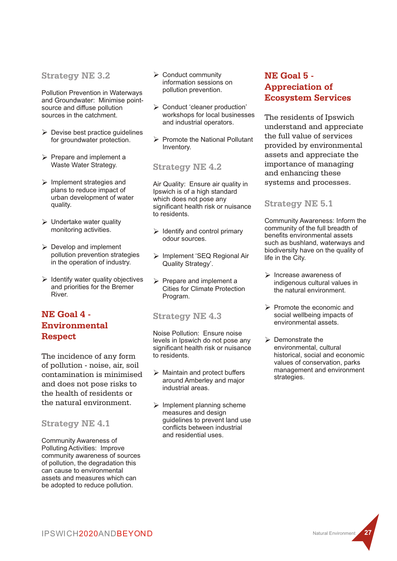### **Strategy NE 3.2**

Pollution Prevention in Waterways and Groundwater: Minimise pointsource and diffuse pollution sources in the catchment.

- $\triangleright$  Devise best practice guidelines for groundwater protection.
- $\triangleright$  Prepare and implement a Waste Water Strategy.
- $\triangleright$  Implement strategies and plans to reduce impact of urban development of water quality.
- $\triangleright$  Undertake water quality monitoring activities.
- $\triangleright$  Develop and implement pollution prevention strategies in the operation of industry.
- $\triangleright$  Identify water quality objectives and priorities for the Bremer River.

# **NE Goal 4 - Environmental Respect**

The incidence of any form of pollution - noise, air, soil contamination is minimised and does not pose risks to the health of residents or the natural environment.

### **Strategy NE 4.1**

Community Awareness of Polluting Activities: Improve community awareness of sources of pollution, the degradation this can cause to environmental assets and measures which can be adopted to reduce pollution.

- $\triangleright$  Conduct community information sessions on pollution prevention.
- Ø Conduct 'cleaner production' workshops for local businesses and industrial operators.
- $\triangleright$  Promote the National Pollutant Inventory.

### **Strategy NE 4.2**

Air Quality: Ensure air quality in Ipswich is of a high standard which does not pose any significant health risk or nuisance to residents.

- $\triangleright$  Identify and control primary odour sources.
- Ø Implement 'SEQ Regional Air Quality Strategy'.
- $\triangleright$  Prepare and implement a Cities for Climate Protection Program.

#### **Strategy NE 4.3**

Noise Pollution: Ensure noise levels in Ipswich do not pose any significant health risk or nuisance to residents.

- $\triangleright$  Maintain and protect buffers around Amberley and major industrial areas.
- $\triangleright$  Implement planning scheme measures and design guidelines to prevent land use conflicts between industrial and residential uses.

# **NE Goal 5 - Appreciation of Ecosystem Services**

The residents of Ipswich understand and appreciate the full value of services provided by environmental assets and appreciate the importance of managing and enhancing these systems and processes.

### **Strategy NE 5.1**

Community Awareness: Inform the community of the full breadth of benefits environmental assets such as bushland, waterways and biodiversity have on the quality of life in the City.

- $\triangleright$  Increase awareness of indigenous cultural values in the natural environment.
- $\triangleright$  Promote the economic and social wellbeing impacts of environmental assets.
- $\triangleright$  Demonstrate the environmental, cultural historical, social and economic values of conservation, parks management and environment strategies.